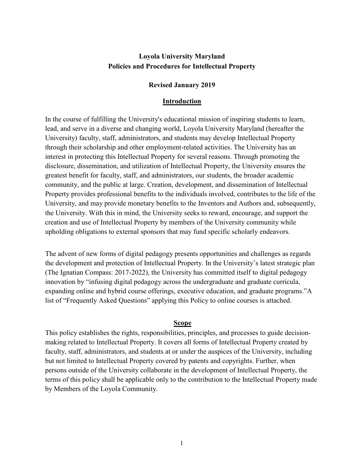## **Loyola University Maryland Policies and Procedures for Intellectual Property**

#### **Revised January 2019**

#### **Introduction**

In the course of fulfilling the University's educational mission of inspiring students to learn, lead, and serve in a diverse and changing world, Loyola University Maryland (hereafter the University) faculty, staff, administrators, and students may develop Intellectual Property through their scholarship and other employment-related activities. The University has an interest in protecting this Intellectual Property for several reasons. Through promoting the disclosure, dissemination, and utilization of Intellectual Property, the University ensures the greatest benefit for faculty, staff, and administrators, our students, the broader academic community, and the public at large. Creation, development, and dissemination of Intellectual Property provides professional benefits to the individuals involved, contributes to the life of the University, and may provide monetary benefits to the Inventors and Authors and, subsequently, the University. With this in mind, the University seeks to reward, encourage, and support the creation and use of Intellectual Property by members of the University community while upholding obligations to external sponsors that may fund specific scholarly endeavors.

The advent of new forms of digital pedagogy presents opportunities and challenges as regards the development and protection of Intellectual Property. In the University's latest strategic plan (The Ignatian Compass: 2017-2022), the University has committed itself to digital pedagogy innovation by "infusing digital pedagogy across the undergraduate and graduate curricula, expanding online and hybrid course offerings, executive education, and graduate programs."A list of "Frequently Asked Questions" applying this Policy to online courses is attached.

#### **Scope**

This policy establishes the rights, responsibilities, principles, and processes to guide decisionmaking related to Intellectual Property. It covers all forms of Intellectual Property created by faculty, staff, administrators, and students at or under the auspices of the University, including but not limited to Intellectual Property covered by patents and copyrights. Further, when persons outside of the University collaborate in the development of Intellectual Property, the terms of this policy shall be applicable only to the contribution to the Intellectual Property made by Members of the Loyola Community.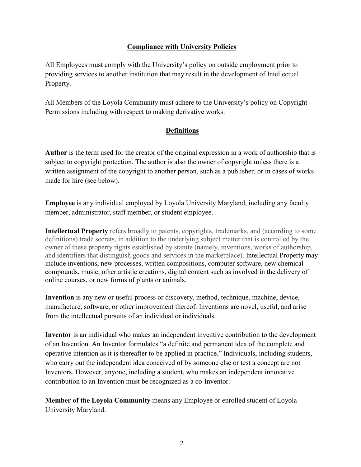## **Compliance with University Policies**

All Employees must comply with the University's policy on outside employment prior to providing services to another institution that may result in the development of Intellectual Property.

All Members of the Loyola Community must adhere to the University's policy on Copyright Permissions including with respect to making derivative works.

### **Definitions**

**Author** is the term used for the creator of the original expression in a work of authorship that is subject to copyright protection. The author is also the owner of copyright unless there is a written assignment of the copyright to another person, such as a publisher, or in cases of works made for hire (see below).

**Employee** is any individual employed by Loyola University Maryland, including any faculty member, administrator, staff member, or student employee.

**Intellectual Property** refers broadly to patents, copyrights, trademarks, and (according to some definitions) trade secrets, in addition to the underlying subject matter that is controlled by the owner of these property rights established by statute (namely, inventions, works of authorship, and identifiers that distinguish goods and services in the marketplace). Intellectual Property may include inventions, new processes, written compositions, computer software, new chemical compounds, music, other artistic creations, digital content such as involved in the delivery of online courses, or new forms of plants or animals.

**Invention** is any new or useful process or discovery, method, technique, machine, device, manufacture, software, or other improvement thereof. Inventions are novel, useful, and arise from the intellectual pursuits of an individual or individuals.

**Inventor** is an individual who makes an independent inventive contribution to the development of an Invention. An Inventor formulates "a definite and permanent idea of the complete and operative intention as it is thereafter to be applied in practice." Individuals, including students, who carry out the independent idea conceived of by someone else or test a concept are not Inventors. However, anyone, including a student, who makes an independent innovative contribution to an Invention must be recognized as a co-Inventor.

**Member of the Loyola Community** means any Employee or enrolled student of Loyola University Maryland.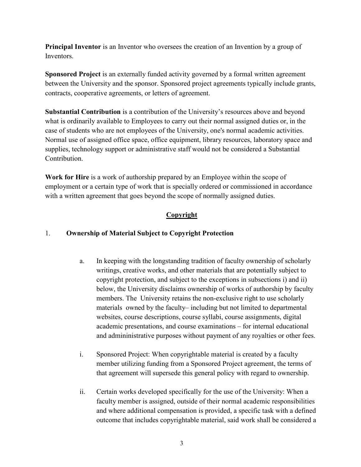**Principal Inventor** is an Inventor who oversees the creation of an Invention by a group of Inventors.

**Sponsored Project** is an externally funded activity governed by a formal written agreement between the University and the sponsor. Sponsored project agreements typically include grants, contracts, cooperative agreements, or letters of agreement.

**Substantial Contribution** is a contribution of the University's resources above and beyond what is ordinarily available to Employees to carry out their normal assigned duties or, in the case of students who are not employees of the University, one's normal academic activities. Normal use of assigned office space, office equipment, library resources, laboratory space and supplies, technology support or administrative staff would not be considered a Substantial Contribution.

**Work for Hire** is a work of authorship prepared by an Employee within the scope of employment or a certain type of work that is specially ordered or commissioned in accordance with a written agreement that goes beyond the scope of normally assigned duties.

# **Copyright**

### 1. **Ownership of Material Subject to Copyright Protection**

- a. In keeping with the longstanding tradition of faculty ownership of scholarly writings, creative works, and other materials that are potentially subject to copyright protection, and subject to the exceptions in subsections i) and ii) below, the University disclaims ownership of works of authorship by faculty members. The University retains the non-exclusive right to use scholarly materials owned by the faculty– including but not limited to departmental websites, course descriptions, course syllabi, course assignments, digital academic presentations, and course examinations – for internal educational and admininistrative purposes without payment of any royalties or other fees.
- i. Sponsored Project: When copyrightable material is created by a faculty member utilizing funding from a Sponsored Project agreement, the terms of that agreement will supersede this general policy with regard to ownership.
- ii. Certain works developed specifically for the use of the University: When a faculty member is assigned, outside of their normal academic responsibilities and where additional compensation is provided, a specific task with a defined outcome that includes copyrightable material, said work shall be considered a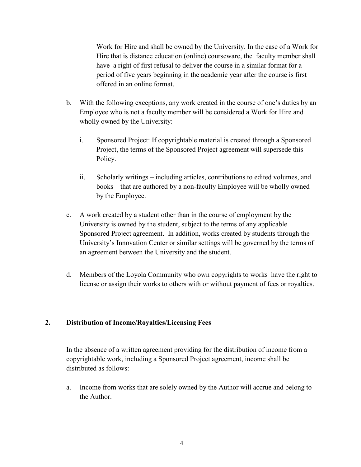Work for Hire and shall be owned by the University. In the case of a Work for Hire that is distance education (online) courseware, the faculty member shall have a right of first refusal to deliver the course in a similar format for a period of five years beginning in the academic year after the course is first offered in an online format.

- b. With the following exceptions, any work created in the course of one's duties by an Employee who is not a faculty member will be considered a Work for Hire and wholly owned by the University:
	- i. Sponsored Project: If copyrightable material is created through a Sponsored Project, the terms of the Sponsored Project agreement will supersede this Policy.
	- ii. Scholarly writings including articles, contributions to edited volumes, and books – that are authored by a non-faculty Employee will be wholly owned by the Employee.
- c. A work created by a student other than in the course of employment by the University is owned by the student, subject to the terms of any applicable Sponsored Project agreement. In addition, works created by students through the University's Innovation Center or similar settings will be governed by the terms of an agreement between the University and the student.
- d. Members of the Loyola Community who own copyrights to works have the right to license or assign their works to others with or without payment of fees or royalties.

#### **2. Distribution of Income/Royalties/Licensing Fees**

In the absence of a written agreement providing for the distribution of income from a copyrightable work, including a Sponsored Project agreement, income shall be distributed as follows:

a. Income from works that are solely owned by the Author will accrue and belong to the Author.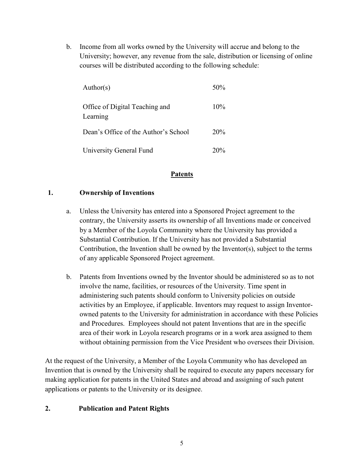b. Income from all works owned by the University will accrue and belong to the University; however, any revenue from the sale, distribution or licensing of online courses will be distributed according to the following schedule:

| Author(s)                                  | $50\%$ |
|--------------------------------------------|--------|
| Office of Digital Teaching and<br>Learning | 10%    |
| Dean's Office of the Author's School       | 20%    |
| <b>University General Fund</b>             | 20%    |

### **Patents**

### **1. Ownership of Inventions**

- a. Unless the University has entered into a Sponsored Project agreement to the contrary, the University asserts its ownership of all Inventions made or conceived by a Member of the Loyola Community where the University has provided a Substantial Contribution. If the University has not provided a Substantial Contribution, the Invention shall be owned by the Inventor(s), subject to the terms of any applicable Sponsored Project agreement.
- b. Patents from Inventions owned by the Inventor should be administered so as to not involve the name, facilities, or resources of the University. Time spent in administering such patents should conform to University policies on outside activities by an Employee, if applicable. Inventors may request to assign Inventorowned patents to the University for administration in accordance with these Policies and Procedures. Employees should not patent Inventions that are in the specific area of their work in Loyola research programs or in a work area assigned to them without obtaining permission from the Vice President who oversees their Division.

At the request of the University, a Member of the Loyola Community who has developed an Invention that is owned by the University shall be required to execute any papers necessary for making application for patents in the United States and abroad and assigning of such patent applications or patents to the University or its designee.

## **2. Publication and Patent Rights**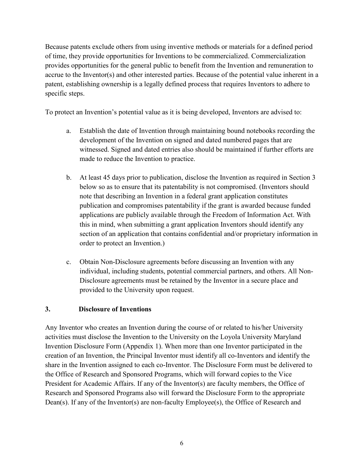Because patents exclude others from using inventive methods or materials for a defined period of time, they provide opportunities for Inventions to be commercialized. Commercialization provides opportunities for the general public to benefit from the Invention and remuneration to accrue to the Inventor(s) and other interested parties. Because of the potential value inherent in a patent, establishing ownership is a legally defined process that requires Inventors to adhere to specific steps.

To protect an Invention's potential value as it is being developed, Inventors are advised to:

- a. Establish the date of Invention through maintaining bound notebooks recording the development of the Invention on signed and dated numbered pages that are witnessed. Signed and dated entries also should be maintained if further efforts are made to reduce the Invention to practice.
- b. At least 45 days prior to publication, disclose the Invention as required in Section 3 below so as to ensure that its patentability is not compromised. (Inventors should note that describing an Invention in a federal grant application constitutes publication and compromises patentability if the grant is awarded because funded applications are publicly available through the Freedom of Information Act. With this in mind, when submitting a grant application Inventors should identify any section of an application that contains confidential and/or proprietary information in order to protect an Invention.)
- c. Obtain Non-Disclosure agreements before discussing an Invention with any individual, including students, potential commercial partners, and others. All Non-Disclosure agreements must be retained by the Inventor in a secure place and provided to the University upon request.

#### **3. Disclosure of Inventions**

Any Inventor who creates an Invention during the course of or related to his/her University activities must disclose the Invention to the University on the Loyola University Maryland Invention Disclosure Form (Appendix 1). When more than one Inventor participated in the creation of an Invention, the Principal Inventor must identify all co-Inventors and identify the share in the Invention assigned to each co-Inventor. The Disclosure Form must be delivered to the Office of Research and Sponsored Programs, which will forward copies to the Vice President for Academic Affairs. If any of the Inventor(s) are faculty members, the Office of Research and Sponsored Programs also will forward the Disclosure Form to the appropriate Dean(s). If any of the Inventor(s) are non-faculty Employee(s), the Office of Research and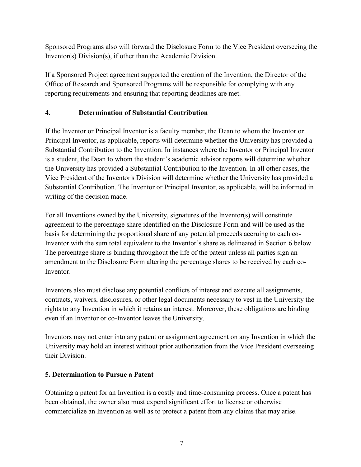Sponsored Programs also will forward the Disclosure Form to the Vice President overseeing the Inventor(s) Division(s), if other than the Academic Division.

If a Sponsored Project agreement supported the creation of the Invention, the Director of the Office of Research and Sponsored Programs will be responsible for complying with any reporting requirements and ensuring that reporting deadlines are met.

# **4. Determination of Substantial Contribution**

If the Inventor or Principal Inventor is a faculty member, the Dean to whom the Inventor or Principal Inventor, as applicable, reports will determine whether the University has provided a Substantial Contribution to the Invention. In instances where the Inventor or Principal Inventor is a student, the Dean to whom the student's academic advisor reports will determine whether the University has provided a Substantial Contribution to the Invention. In all other cases, the Vice President of the Inventor's Division will determine whether the University has provided a Substantial Contribution. The Inventor or Principal Inventor, as applicable, will be informed in writing of the decision made.

For all Inventions owned by the University, signatures of the Inventor(s) will constitute agreement to the percentage share identified on the Disclosure Form and will be used as the basis for determining the proportional share of any potential proceeds accruing to each co-Inventor with the sum total equivalent to the Inventor's share as delineated in Section 6 below. The percentage share is binding throughout the life of the patent unless all parties sign an amendment to the Disclosure Form altering the percentage shares to be received by each co-**Inventor** 

Inventors also must disclose any potential conflicts of interest and execute all assignments, contracts, waivers, disclosures, or other legal documents necessary to vest in the University the rights to any Invention in which it retains an interest. Moreover, these obligations are binding even if an Inventor or co-Inventor leaves the University.

Inventors may not enter into any patent or assignment agreement on any Invention in which the University may hold an interest without prior authorization from the Vice President overseeing their Division.

## **5. Determination to Pursue a Patent**

Obtaining a patent for an Invention is a costly and time-consuming process. Once a patent has been obtained, the owner also must expend significant effort to license or otherwise commercialize an Invention as well as to protect a patent from any claims that may arise.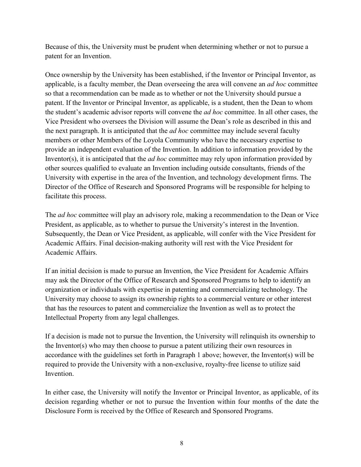Because of this, the University must be prudent when determining whether or not to pursue a patent for an Invention.

Once ownership by the University has been established, if the Inventor or Principal Inventor, as applicable, is a faculty member, the Dean overseeing the area will convene an *ad hoc* committee so that a recommendation can be made as to whether or not the University should pursue a patent. If the Inventor or Principal Inventor, as applicable, is a student, then the Dean to whom the student's academic advisor reports will convene the *ad hoc* committee. In all other cases, the Vice President who oversees the Division will assume the Dean's role as described in this and the next paragraph. It is anticipated that the *ad hoc* committee may include several faculty members or other Members of the Loyola Community who have the necessary expertise to provide an independent evaluation of the Invention. In addition to information provided by the Inventor(s), it is anticipated that the *ad hoc* committee may rely upon information provided by other sources qualified to evaluate an Invention including outside consultants, friends of the University with expertise in the area of the Invention, and technology development firms. The Director of the Office of Research and Sponsored Programs will be responsible for helping to facilitate this process.

The *ad hoc* committee will play an advisory role, making a recommendation to the Dean or Vice President, as applicable, as to whether to pursue the University's interest in the Invention. Subsequently, the Dean or Vice President, as applicable, will confer with the Vice President for Academic Affairs. Final decision-making authority will rest with the Vice President for Academic Affairs.

If an initial decision is made to pursue an Invention, the Vice President for Academic Affairs may ask the Director of the Office of Research and Sponsored Programs to help to identify an organization or individuals with expertise in patenting and commercializing technology. The University may choose to assign its ownership rights to a commercial venture or other interest that has the resources to patent and commercialize the Invention as well as to protect the Intellectual Property from any legal challenges.

If a decision is made not to pursue the Invention, the University will relinquish its ownership to the Inventor(s) who may then choose to pursue a patent utilizing their own resources in accordance with the guidelines set forth in Paragraph 1 above; however, the Inventor(s) will be required to provide the University with a non-exclusive, royalty-free license to utilize said Invention.

In either case, the University will notify the Inventor or Principal Inventor, as applicable, of its decision regarding whether or not to pursue the Invention within four months of the date the Disclosure Form is received by the Office of Research and Sponsored Programs.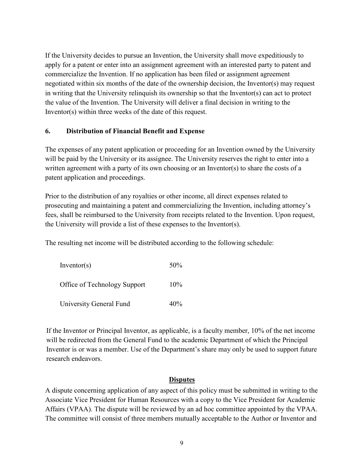If the University decides to pursue an Invention, the University shall move expeditiously to apply for a patent or enter into an assignment agreement with an interested party to patent and commercialize the Invention. If no application has been filed or assignment agreement negotiated within six months of the date of the ownership decision, the Inventor(s) may request in writing that the University relinquish its ownership so that the Inventor(s) can act to protect the value of the Invention. The University will deliver a final decision in writing to the Inventor(s) within three weeks of the date of this request.

### **6. Distribution of Financial Benefit and Expense**

The expenses of any patent application or proceeding for an Invention owned by the University will be paid by the University or its assignee. The University reserves the right to enter into a written agreement with a party of its own choosing or an Inventor(s) to share the costs of a patent application and proceedings.

Prior to the distribution of any royalties or other income, all direct expenses related to prosecuting and maintaining a patent and commercializing the Invention, including attorney's fees, shall be reimbursed to the University from receipts related to the Invention. Upon request, the University will provide a list of these expenses to the Inventor(s).

The resulting net income will be distributed according to the following schedule:

| Inventor(s)                  | 50%    |
|------------------------------|--------|
| Office of Technology Support | $10\%$ |
| University General Fund      | 40%    |

If the Inventor or Principal Inventor, as applicable, is a faculty member, 10% of the net income will be redirected from the General Fund to the academic Department of which the Principal Inventor is or was a member. Use of the Department's share may only be used to support future research endeavors.

#### **Disputes**

A dispute concerning application of any aspect of this policy must be submitted in writing to the Associate Vice President for Human Resources with a copy to the Vice President for Academic Affairs (VPAA). The dispute will be reviewed by an ad hoc committee appointed by the VPAA. The committee will consist of three members mutually acceptable to the Author or Inventor and